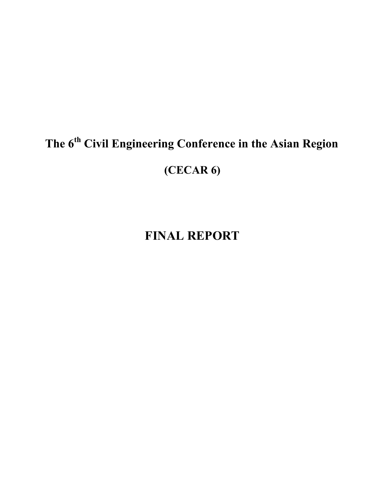# **The 6th Civil Engineering Conference in the Asian Region (CECAR 6)**

# **FINAL REPORT**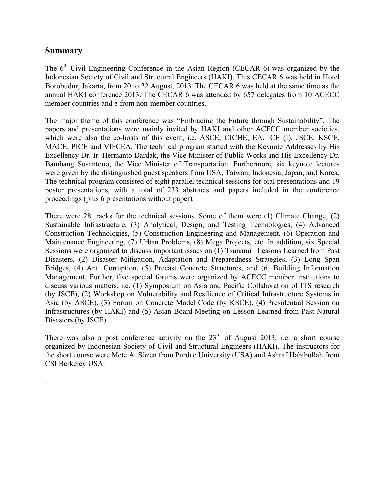### **Summary**

.

The  $6<sup>th</sup>$  Civil Engineering Conference in the Asian Region (CECAR 6) was organized by the Indonesian Society of Civil and Structural Engineers (HAKI). This CECAR 6 was held in Hotel Borobudur, Jakarta, from 20 to 22 August, 2013. The CECAR 6 was held at the same time as the annual HAKI conference 2013. The CECAR 6 was attended by 657 delegates from 10 ACECC member countries and 8 from non-member countries.

The major theme of this conference was "Embracing the Future through Sustainability". The papers and presentations were mainly invited by HAKI and other ACECC member societies, which were also the co-hosts of this event, i.e. ASCE, CICHE, EA, ICE (I), JSCE, KSCE, MACE, PICE and VIFCEA. The technical program started with the Keynote Addresses by His Excellency Dr. Ir. Hermanto Dardak, the Vice Minister of Public Works and His Excellency Dr. Bambang Susantono, the Vice Minister of Transportation. Furthermore, six keynote lectures were given by the distinguished guest speakers from USA, Taiwan, Indonesia, Japan, and Korea. The technical program consisted of eight parallel technical sessions for oral presentations and 19 poster presentations, with a total of 233 abstracts and papers included in the conference proceedings (plus 6 presentations without paper).

There were 28 tracks for the technical sessions. Some of them were (1) Climate Change, (2) Sustainable Infrastructure, (3) Analytical, Design, and Testing Technologies, (4) Advanced Construction Technologies, (5) Construction Engineering and Management, (6) Operation and Maintenance Engineering, (7) Urban Problems, (8) Mega Projects, etc. In addition, six Special Sessions were organized to discuss important issues on (1) Tsunami –Lessons Learned from Past Disasters, (2) Disaster Mitigation, Adaptation and Preparedness Strategies, (3) Long Span Bridges, (4) Anti Corruption, (5) Precast Concrete Structures, and (6) Building Information Management. Further, five special forums were organized by ACECC member institutions to discuss various matters, i.e. (1) Symposium on Asia and Pacific Collaboration of ITS research (by JSCE), (2) Workshop on Vulnerability and Resilience of Critical Infrastructure Systems in Asia (by ASCE), (3) Forum on Concrete Model Code (by KSCE), (4) Presidential Session on Infrastructures (by HAKI) and (5) Asian Board Meeting on Lesson Learned from Past Natural Disasters (by JSCE).

There was also a post conference activity on the  $23<sup>rd</sup>$  of August 2013, i.e. a short course organized by Indonesian Society of Civil and Structural Engineers (HAKI). The instructors for the short course were Mete A. Sözen from Purdue University (USA) and Ashraf Habibullah from CSI Berkeley USA.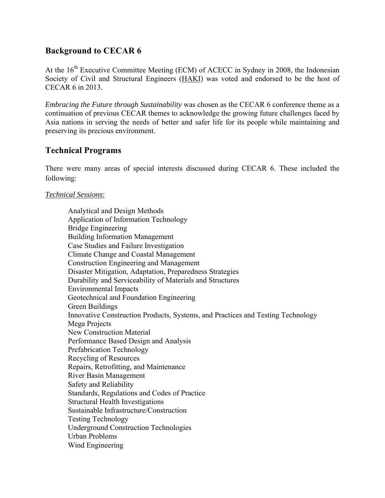# **Background to CECAR 6**

At the 16<sup>th</sup> Executive Committee Meeting (ECM) of ACECC in Sydney in 2008, the Indonesian Society of Civil and Structural Engineers (HAKI) was voted and endorsed to be the host of CECAR 6 in 2013.

*Embracing the Future through Sustainability* was chosen as the CECAR 6 conference theme as a continuation of previous CECAR themes to acknowledge the growing future challenges faced by Asia nations in serving the needs of better and safer life for its people while maintaining and preserving its precious environment.

## **Technical Programs**

There were many areas of special interests discussed during CECAR 6. These included the following:

#### *Technical Sessions*:

 Analytical and Design Methods Application of Information Technology Bridge Engineering Building Information Management Case Studies and Failure Investigation Climate Change and Coastal Management Construction Engineering and Management Disaster Mitigation, Adaptation, Preparedness Strategies Durability and Serviceability of Materials and Structures Environmental Impacts Geotechnical and Foundation Engineering Green Buildings Innovative Construction Products, Systems, and Practices and Testing Technology Mega Projects New Construction Material Performance Based Design and Analysis Prefabrication Technology Recycling of Resources Repairs, Retrofitting, and Maintenance River Basin Management Safety and Reliability Standards, Regulations and Codes of Practice Structural Health Investigations Sustainable Infrastructure/Construction Testing Technology Underground Construction Technologies Urban Problems Wind Engineering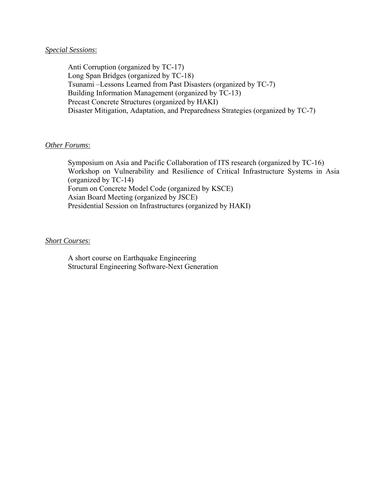#### *Special Sessions*:

 Anti Corruption (organized by TC-17) Long Span Bridges (organized by TC-18) Tsunami –Lessons Learned from Past Disasters (organized by TC-7) Building Information Management (organized by TC-13) Precast Concrete Structures (organized by HAKI) Disaster Mitigation, Adaptation, and Preparedness Strategies (organized by TC-7)

#### *Other Forums*:

 Symposium on Asia and Pacific Collaboration of ITS research (organized by TC-16) Workshop on Vulnerability and Resilience of Critical Infrastructure Systems in Asia (organized by TC-14) Forum on Concrete Model Code (organized by KSCE) Asian Board Meeting (organized by JSCE) Presidential Session on Infrastructures (organized by HAKI)

#### *Short Courses*:

 A short course on Earthquake Engineering Structural Engineering Software-Next Generation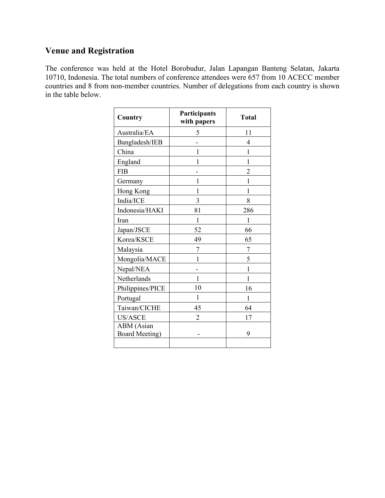# **Venue and Registration**

The conference was held at the Hotel Borobudur, Jalan Lapangan Banteng Selatan, Jakarta 10710, Indonesia. The total numbers of conference attendees were 657 from 10 ACECC member countries and 8 from non-member countries. Number of delegations from each country is shown in the table below.

| Country                      | Participants<br>with papers | <b>Total</b>   |
|------------------------------|-----------------------------|----------------|
| Australia/EA                 | 5                           | 11             |
| Bangladesh/IEB               |                             | 4              |
| China                        | 1                           | 1              |
| England                      | 1                           | 1              |
| <b>FIB</b>                   |                             | $\overline{2}$ |
| Germany                      | 1                           | 1              |
| Hong Kong                    | 1                           | 1              |
| India/ICE                    | 3                           | 8              |
| Indonesia/HAKI               | 81                          | 286            |
| Iran                         | 1                           | 1              |
| Japan/JSCE                   | 52                          | 66             |
| Korea/KSCE                   | 49                          | 65             |
| Malaysia                     | 7                           | 7              |
| Mongolia/MACE                | 1                           | 5              |
| Nepal/NEA                    |                             | 1              |
| Netherlands                  | 1                           | 1              |
| Philippines/PICE             | 10                          | 16             |
| Portugal                     | 1                           | 1              |
| Taiwan/CICHE                 | 45                          | 64             |
| <b>US/ASCE</b>               | 2                           | 17             |
| ABM (Asian<br>Board Meeting) |                             | 9              |
|                              |                             |                |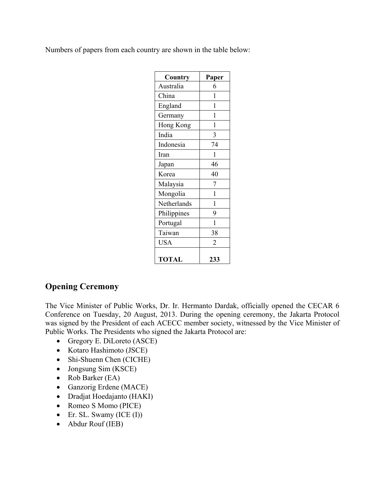Numbers of papers from each country are shown in the table below:

| Country      | Paper |
|--------------|-------|
| Australia    | 6     |
| China        | 1     |
| England      | 1     |
| Germany      | 1     |
| Hong Kong    | 1     |
| India        | 3     |
| Indonesia    | 74    |
| Iran         | 1     |
| Japan        | 46    |
| Korea        | 40    |
| Malaysia     | 7     |
| Mongolia     | 1     |
| Netherlands  | 1     |
| Philippines  | 9     |
| Portugal     | 1     |
| Taiwan       | 38    |
| <b>USA</b>   | 2     |
| <b>TOTAL</b> | 233   |

# **Opening Ceremony**

The Vice Minister of Public Works, Dr. Ir. Hermanto Dardak, officially opened the CECAR 6 Conference on Tuesday, 20 August, 2013. During the opening ceremony, the Jakarta Protocol was signed by the President of each ACECC member society, witnessed by the Vice Minister of Public Works. The Presidents who signed the Jakarta Protocol are:

- Gregory E. DiLoreto (ASCE)
- Kotaro Hashimoto (JSCE)
- Shi-Shuenn Chen (CICHE)
- Jongsung Sim (KSCE)
- Rob Barker (EA)
- Ganzorig Erdene (MACE)
- Dradjat Hoedajanto (HAKI)
- Romeo S Momo (PICE)
- $\bullet$  Er. SL. Swamy (ICE (I))
- Abdur Rouf (IEB)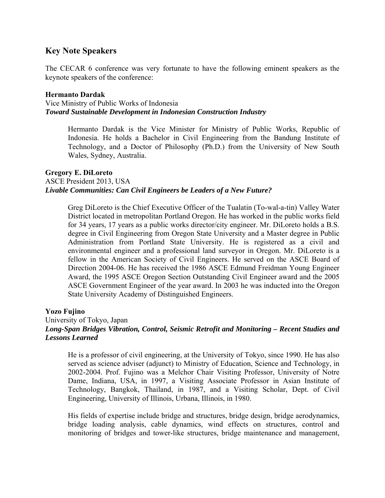## **Key Note Speakers**

The CECAR 6 conference was very fortunate to have the following eminent speakers as the keynote speakers of the conference:

#### **Hermanto Dardak**

Vice Ministry of Public Works of Indonesia *Toward Sustainable Development in Indonesian Construction Industry*

> Hermanto Dardak is the Vice Minister for Ministry of Public Works, Republic of Indonesia. He holds a Bachelor in Civil Engineering from the Bandung Institute of Technology, and a Doctor of Philosophy (Ph.D.) from the University of New South Wales, Sydney, Australia.

#### **Gregory E. DiLoreto**  ASCE President 2013, USA *Livable Communities: Can Civil Engineers be Leaders of a New Future?*

Greg DiLoreto is the Chief Executive Officer of the Tualatin (To-wal-a-tin) Valley Water District located in metropolitan Portland Oregon. He has worked in the public works field for 34 years, 17 years as a public works director/city engineer. Mr. DiLoreto holds a B.S. degree in Civil Engineering from Oregon State University and a Master degree in Public Administration from Portland State University. He is registered as a civil and environmental engineer and a professional land surveyor in Oregon. Mr. DiLoreto is a fellow in the American Society of Civil Engineers. He served on the ASCE Board of Direction 2004-06. He has received the 1986 ASCE Edmund Freidman Young Engineer Award, the 1995 ASCE Oregon Section Outstanding Civil Engineer award and the 2005 ASCE Government Engineer of the year award. In 2003 he was inducted into the Oregon State University Academy of Distinguished Engineers.

#### **Yozo Fujino**

#### University of Tokyo, Japan *Long-Span Bridges Vibration, Control, Seismic Retrofit and Monitoring – Recent Studies and Lessons Learned*

He is a professor of civil engineering, at the University of Tokyo, since 1990. He has also served as science adviser (adjunct) to Ministry of Education, Science and Technology, in 2002-2004. Prof. Fujino was a Melchor Chair Visiting Professor, University of Notre Dame, Indiana, USA, in 1997, a Visiting Associate Professor in Asian Institute of Technology, Bangkok, Thailand, in 1987, and a Visiting Scholar, Dept. of Civil Engineering, University of Illinois, Urbana, Illinois, in 1980.

His fields of expertise include bridge and structures, bridge design, bridge aerodynamics, bridge loading analysis, cable dynamics, wind effects on structures, control and monitoring of bridges and tower-like structures, bridge maintenance and management,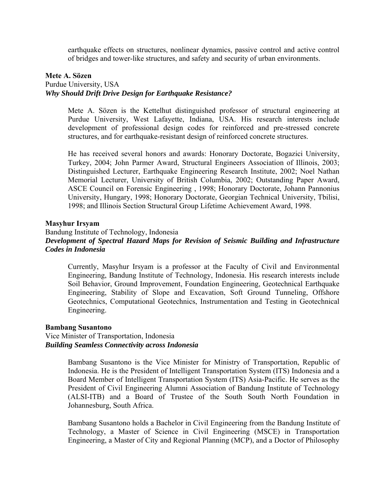earthquake effects on structures, nonlinear dynamics, passive control and active control of bridges and tower-like structures, and safety and security of urban environments.

#### **Mete A. Sözen**

## Purdue University, USA *Why Should Drift Drive Design for Earthquake Resistance?*

Mete A. Sözen is the Kettelhut distinguished professor of structural engineering at Purdue University, West Lafayette, Indiana, USA. His research interests include development of professional design codes for reinforced and pre-stressed concrete structures, and for earthquake-resistant design of reinforced concrete structures.

He has received several honors and awards: Honorary Doctorate, Bogazici University, Turkey, 2004; John Parmer Award, Structural Engineers Association of Illinois, 2003; Distinguished Lecturer, Earthquake Engineering Research Institute, 2002; Noel Nathan Memorial Lecturer, University of British Columbia, 2002; Outstanding Paper Award, ASCE Council on Forensic Engineering , 1998; Honorary Doctorate, Johann Pannonius University, Hungary, 1998; Honorary Doctorate, Georgian Technical University, Tbilisi, 1998; and Illinois Section Structural Group Lifetime Achievement Award, 1998.

#### **Masyhur Irsyam**

#### Bandung Institute of Technology, Indonesia *Development of Spectral Hazard Maps for Revision of Seismic Building and Infrastructure Codes in Indonesia*

Currently, Masyhur Irsyam is a professor at the Faculty of Civil and Environmental Engineering, Bandung Institute of Technology, Indonesia. His research interests include Soil Behavior, Ground Improvement, Foundation Engineering, Geotechnical Earthquake Engineering, Stability of Slope and Excavation, Soft Ground Tunneling, Offshore Geotechnics, Computational Geotechnics, Instrumentation and Testing in Geotechnical Engineering.

#### **Bambang Susantono**

#### Vice Minister of Transportation, Indonesia *Building Seamless Connectivity across Indonesia*

Bambang Susantono is the Vice Minister for Ministry of Transportation, Republic of Indonesia. He is the President of Intelligent Transportation System (ITS) Indonesia and a Board Member of Intelligent Transportation System (ITS) Asia-Pacific. He serves as the President of Civil Engineering Alumni Association of Bandung Institute of Technology (ALSI-ITB) and a Board of Trustee of the South South North Foundation in Johannesburg, South Africa.

Bambang Susantono holds a Bachelor in Civil Engineering from the Bandung Institute of Technology, a Master of Science in Civil Engineering (MSCE) in Transportation Engineering, a Master of City and Regional Planning (MCP), and a Doctor of Philosophy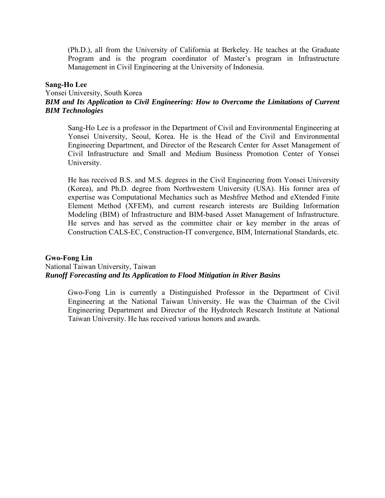(Ph.D.), all from the University of California at Berkeley. He teaches at the Graduate Program and is the program coordinator of Master's program in Infrastructure Management in Civil Engineering at the University of Indonesia.

#### **Sang-Ho Lee**

#### Yonsei University, South Korea *BIM and Its Application to Civil Engineering: How to Overcome the Limitations of Current BIM Technologies*

Sang-Ho Lee is a professor in the Department of Civil and Environmental Engineering at Yonsei University, Seoul, Korea. He is the Head of the Civil and Environmental Engineering Department, and Director of the Research Center for Asset Management of Civil Infrastructure and Small and Medium Business Promotion Center of Yonsei University.

He has received B.S. and M.S. degrees in the Civil Engineering from Yonsei University (Korea), and Ph.D. degree from Northwestern University (USA). His former area of expertise was Computational Mechanics such as Meshfree Method and eXtended Finite Element Method (XFEM), and current research interests are Building Information Modeling (BIM) of Infrastructure and BIM-based Asset Management of Infrastructure. He serves and has served as the committee chair or key member in the areas of Construction CALS-EC, Construction-IT convergence, BIM, International Standards, etc.

#### **Gwo-Fong Lin**  National Taiwan University, Taiwan *Runoff Forecasting and Its Application to Flood Mitigation in River Basins*

Gwo-Fong Lin is currently a Distinguished Professor in the Department of Civil Engineering at the National Taiwan University. He was the Chairman of the Civil Engineering Department and Director of the Hydrotech Research Institute at National Taiwan University. He has received various honors and awards.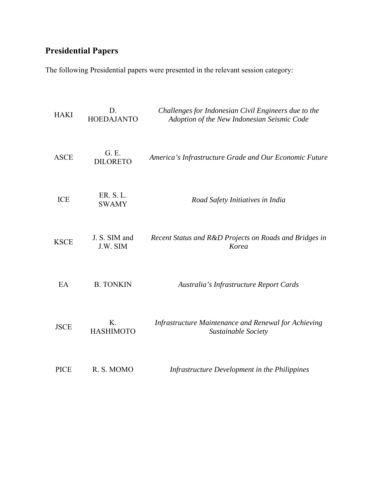# **Presidential Papers**

The following Presidential papers were presented in the relevant session category:

| <b>HAKI</b> | D.<br><b>HOEDAJANTO</b>     | Challenges for Indonesian Civil Engineers due to the<br>Adoption of the New Indonesian Seismic Code |
|-------------|-----------------------------|-----------------------------------------------------------------------------------------------------|
| <b>ASCE</b> | G. E.<br><b>DILORETO</b>    | America's Infrastructure Grade and Our Economic Future                                              |
| ICE         | ER. S. L.<br><b>SWAMY</b>   | Road Safety Initiatives in India                                                                    |
| <b>KSCE</b> | J. S. SIM and<br>J.W. SIM   | Recent Status and R&D Projects on Roads and Bridges in<br>Korea                                     |
| EA          | <b>B. TONKIN</b>            | Australia's Infrastructure Report Cards                                                             |
| <b>JSCE</b> | $K_{-}$<br><b>HASHIMOTO</b> | Infrastructure Maintenance and Renewal for Achieving<br>Sustainable Society                         |
| <b>PICE</b> | R. S. MOMO                  | Infrastructure Development in the Philippines                                                       |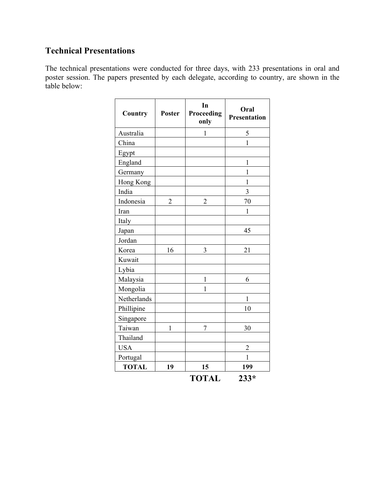# **Technical Presentations**

The technical presentations were conducted for three days, with 233 presentations in oral and poster session. The papers presented by each delegate, according to country, are shown in the table below:

| Country      | <b>Poster</b>  | In<br>Proceeding<br>only | Oral<br>Presentation |
|--------------|----------------|--------------------------|----------------------|
| Australia    |                | 1                        | 5                    |
| China        |                |                          | $\overline{1}$       |
| Egypt        |                |                          |                      |
| England      |                |                          | $\mathbf{1}$         |
| Germany      |                |                          | 1                    |
| Hong Kong    |                |                          | $\mathbf{1}$         |
| India        |                |                          | $\overline{3}$       |
| Indonesia    | $\overline{2}$ | $\overline{2}$           | 70                   |
| Iran         |                |                          | $\mathbf{1}$         |
| Italy        |                |                          |                      |
| Japan        |                |                          | 45                   |
| Jordan       |                |                          |                      |
| Korea        | 16             | 3                        | 21                   |
| Kuwait       |                |                          |                      |
| Lybia        |                |                          |                      |
| Malaysia     |                | $\mathbf{1}$             | 6                    |
| Mongolia     |                | $\mathbf{1}$             |                      |
| Netherlands  |                |                          | $\mathbf{1}$         |
| Phillipine   |                |                          | 10                   |
| Singapore    |                |                          |                      |
| Taiwan       | $\mathbf{1}$   | $\overline{7}$           | 30                   |
| Thailand     |                |                          |                      |
| <b>USA</b>   |                |                          | $\overline{2}$       |
| Portugal     |                |                          | 1                    |
| <b>TOTAL</b> | 19             | 15                       | 199                  |
|              |                | TOTAL                    | $233*$               |

| OTAL | $233*$ |
|------|--------|
|      |        |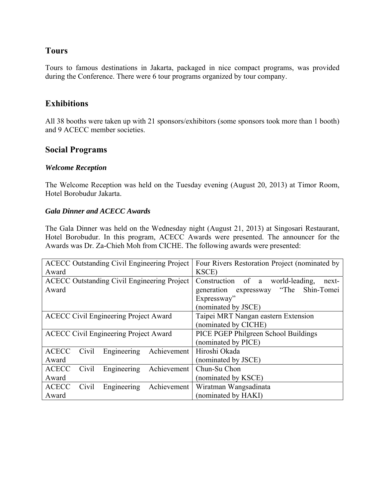## **Tours**

Tours to famous destinations in Jakarta, packaged in nice compact programs, was provided during the Conference. There were 6 tour programs organized by tour company.

# **Exhibitions**

All 38 booths were taken up with 21 sponsors/exhibitors (some sponsors took more than 1 booth) and 9 ACECC member societies.

## **Social Programs**

#### *Welcome Reception*

The Welcome Reception was held on the Tuesday evening (August 20, 2013) at Timor Room, Hotel Borobudur Jakarta.

#### *Gala Dinner and ACECC Awards*

The Gala Dinner was held on the Wednesday night (August 21, 2013) at Singosari Restaurant, Hotel Borobudur. In this program, ACECC Awards were presented. The announcer for the Awards was Dr. Za-Chieh Moh from CICHE. The following awards were presented:

| <b>ACECC Outstanding Civil Engineering Project</b> |       |                                              | Four Rivers Restoration Project (nominated by |                                           |  |  |
|----------------------------------------------------|-------|----------------------------------------------|-----------------------------------------------|-------------------------------------------|--|--|
| Award                                              |       |                                              | KSCE)                                         |                                           |  |  |
| <b>ACECC Outstanding Civil Engineering Project</b> |       |                                              |                                               | Construction of a world-leading,<br>next- |  |  |
| Award                                              |       |                                              |                                               | generation expressway "The Shin-Tomei     |  |  |
|                                                    |       |                                              |                                               | Expressway"                               |  |  |
|                                                    |       |                                              |                                               | (nominated by JSCE)                       |  |  |
|                                                    |       | <b>ACECC Civil Engineering Project Award</b> |                                               | Taipei MRT Nangan eastern Extension       |  |  |
|                                                    |       |                                              |                                               | (nominated by CICHE)                      |  |  |
| <b>ACECC Civil Engineering Project Award</b>       |       |                                              | PICE PGEP Philgreen School Buildings          |                                           |  |  |
|                                                    |       |                                              |                                               | (nominated by PICE)                       |  |  |
| <b>ACECC</b>                                       | Civil | Engineering                                  | Achievement                                   | Hiroshi Okada                             |  |  |
| Award                                              |       |                                              |                                               | (nominated by JSCE)                       |  |  |
| <b>ACECC</b>                                       | Civil | Engineering                                  | Achievement                                   | Chun-Su Chon                              |  |  |
| Award                                              |       |                                              |                                               | (nominated by KSCE)                       |  |  |
| <b>ACECC</b>                                       | Civil | Engineering                                  | Achievement                                   | Wiratman Wangsadinata                     |  |  |
| Award                                              |       |                                              |                                               | (nominated by HAKI)                       |  |  |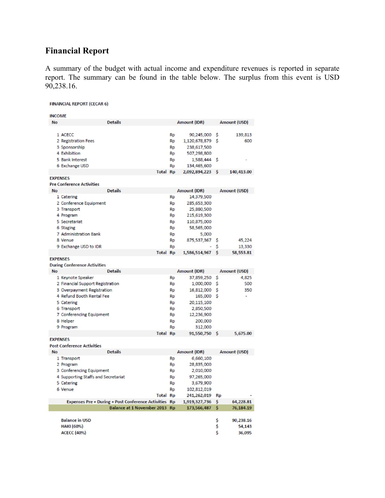# **Financial Report**

A summary of the budget with actual income and expenditure revenues is reported in separate report. The summary can be found in the table below. The surplus from this event is USD 90,238.16.

| <b>FINANCIAL REPORT (CECAR 6)</b>   |                                                       |           |                  |           |                  |
|-------------------------------------|-------------------------------------------------------|-----------|------------------|-----------|------------------|
| <b>INCOME</b>                       |                                                       |           |                  |           |                  |
| <b>No</b>                           | <b>Details</b>                                        |           | Amount (IDR)     |           | Amount (USD)     |
|                                     |                                                       |           |                  |           |                  |
| 1 ACECC                             |                                                       | <b>Rp</b> | 90,245,000 \$    |           | 139,813          |
| 2 Registration Fees                 |                                                       | <b>Rp</b> | 1,120,678,879 \$ |           | 600              |
| 3 Sponsorship                       |                                                       | Rp        | 238,617,500      |           |                  |
| 4 Exhibition                        |                                                       | Rp        | 507,298,800      |           |                  |
| 5 Bank Interest                     |                                                       | <b>Rp</b> | 1,588,444 \$     |           |                  |
| 6 Exchange USD                      |                                                       | Rp        | 134,465,600      |           |                  |
|                                     | <b>Total Rp</b>                                       |           | 2,092,894,223 \$ |           | 140,413.00       |
| <b>EXPENSES</b>                     |                                                       |           |                  |           |                  |
| <b>Pre Conference Activities</b>    |                                                       |           |                  |           |                  |
| <b>No</b>                           | <b>Details</b>                                        |           | Amount (IDR)     |           | Amount (USD)     |
| 1 Catering                          |                                                       | <b>Rp</b> | 14,379,500       |           |                  |
| 2 Conference Equipment              |                                                       | <b>Rp</b> | 285,653,300      |           |                  |
| 3 Transport                         |                                                       | Rp        | 25,880,500       |           |                  |
| 4 Program                           |                                                       | Rp        | 215,619,300      |           |                  |
| 5 Secretariat                       |                                                       | <b>Rp</b> | 110,875,000      |           |                  |
| 6 Staging                           |                                                       | <b>Rp</b> | 58,565,000       |           |                  |
| 7 Administration Bank               |                                                       | Rp        | 5,000            |           |                  |
| 8 Venue                             |                                                       | <b>Rp</b> | 875,537,367      | s         | 45,224           |
| 9 Exchange USD to IDR               |                                                       | Rp        |                  | s         | 13,330           |
|                                     | <b>Total Rp</b>                                       |           | 1,586,514,967    | S         | 58,553.81        |
| <b>EXPENSES</b>                     |                                                       |           |                  |           |                  |
| <b>During Conference Activities</b> |                                                       |           |                  |           |                  |
|                                     |                                                       |           |                  |           |                  |
| <b>No</b>                           | <b>Details</b>                                        |           | Amount (IDR)     |           | Amount (USD)     |
| 1 Keynote Speaker                   |                                                       | <b>Rp</b> | 37,859,250 \$    |           | 4,825            |
| 2 Financial Support Registration    |                                                       | Rp        | 1,000,000 \$     |           | 500              |
| 3 Overpayment Registration          |                                                       | <b>Rp</b> | 16,812,000 \$    |           | 350              |
| 4 Refund Booth Rental Fee           |                                                       | Rp        | 165,000 \$       |           |                  |
| 5 Catering                          |                                                       | <b>Rp</b> | 20,115,100       |           |                  |
| 6 Transport                         |                                                       | <b>Rp</b> | 2,850,500        |           |                  |
| 7 Conferencing Equipment            |                                                       | <b>Rp</b> | 12,236,900       |           |                  |
| 8 Helper                            |                                                       | Rp        | 200,000          |           |                  |
| 9 Program                           |                                                       | Rp        | 312,000          |           |                  |
|                                     | <b>Total Rp</b>                                       |           | 91,550,750 \$    |           | 5,675.00         |
| <b>EXPENSES</b>                     |                                                       |           |                  |           |                  |
| <b>Post Conference Activities</b>   |                                                       |           |                  |           |                  |
| <b>No</b>                           | <b>Details</b>                                        |           | Amount (IDR)     |           | Amount (USD)     |
| 1 Transport                         |                                                       | <b>Rp</b> | 6,660,100        |           |                  |
| 2 Program                           |                                                       | <b>Rp</b> | 28,835,000       |           |                  |
| 3 Conferencing Equipment            |                                                       | Rp        | 2,010,000        |           |                  |
| 4 Supporting Staffs and Secretariat |                                                       | <b>Rp</b> | 97,265,000       |           |                  |
| 5 Catering                          |                                                       | <b>Rp</b> | 3,679,900        |           |                  |
| 6 Venue                             |                                                       | <b>Rp</b> | 102,812,019      |           |                  |
|                                     | <b>Total Rp</b>                                       |           | 241,262,019      | <b>Rp</b> |                  |
|                                     | Expenses Pre + During + Post Conference Activities Rp |           | 1,919,327,736    | \$        | 64,228.81        |
|                                     | Balance at 1 November 2013 Rp                         |           | 173,566,487      | S         | 76,184.19        |
|                                     |                                                       |           |                  |           |                  |
| <b>Balance in USD</b>               |                                                       |           |                  | Ş         | 90,238.16        |
| HAKI (60%)<br><b>ACECC (40%)</b>    |                                                       |           |                  | Ş<br>\$   | 54,143<br>36,095 |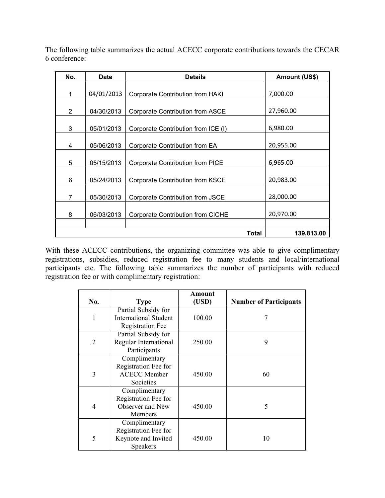The following table summarizes the actual ACECC corporate contributions towards the CECAR 6 conference:

| No. | <b>Date</b> | <b>Details</b>                          | <b>Amount (US\$)</b> |
|-----|-------------|-----------------------------------------|----------------------|
|     |             |                                         |                      |
| 1   | 04/01/2013  | <b>Corporate Contribution from HAKI</b> | 7,000.00             |
|     |             |                                         |                      |
| 2   | 04/30/2013  | Corporate Contribution from ASCE        | 27,960.00            |
|     |             |                                         |                      |
| 3   | 05/01/2013  | Corporate Contribution from ICE (I)     | 6,980.00             |
|     |             |                                         |                      |
| 4   | 05/06/2013  | Corporate Contribution from EA          | 20,955.00            |
|     |             |                                         |                      |
| 5   | 05/15/2013  | Corporate Contribution from PICE        | 6,965.00             |
|     |             |                                         |                      |
| 6   | 05/24/2013  | Corporate Contribution from KSCE        | 20,983.00            |
|     |             |                                         |                      |
| 7   | 05/30/2013  | Corporate Contribution from JSCE        | 28,000.00            |
|     |             |                                         |                      |
| 8   | 06/03/2013  | Corporate Contribution from CICHE       | 20,970.00            |
|     |             |                                         |                      |
|     |             | <b>Total</b>                            | 139,813.00           |

With these ACECC contributions, the organizing committee was able to give complimentary registrations, subsidies, reduced registration fee to many students and local/international participants etc. The following table summarizes the number of participants with reduced registration fee or with complimentary registration:

|                |                              | Amount |                               |
|----------------|------------------------------|--------|-------------------------------|
| No.            | <b>Type</b>                  | (USD)  | <b>Number of Participants</b> |
|                | Partial Subsidy for          |        |                               |
| 1              | <b>International Student</b> | 100.00 |                               |
|                | <b>Registration Fee</b>      |        |                               |
|                | Partial Subsidy for          |        |                               |
| $\overline{2}$ | Regular International        | 250.00 | 9                             |
|                | Participants                 |        |                               |
|                | Complimentary                |        |                               |
|                | Registration Fee for         |        |                               |
| 3              | <b>ACECC Member</b>          | 450.00 | 60                            |
|                | Societies                    |        |                               |
|                | Complimentary                |        |                               |
|                | Registration Fee for         |        |                               |
| 4              | Observer and New             | 450.00 | 5                             |
|                | Members                      |        |                               |
|                | Complimentary                |        |                               |
|                | Registration Fee for         |        |                               |
| 5              | Keynote and Invited          | 450.00 | 10                            |
|                | Speakers                     |        |                               |